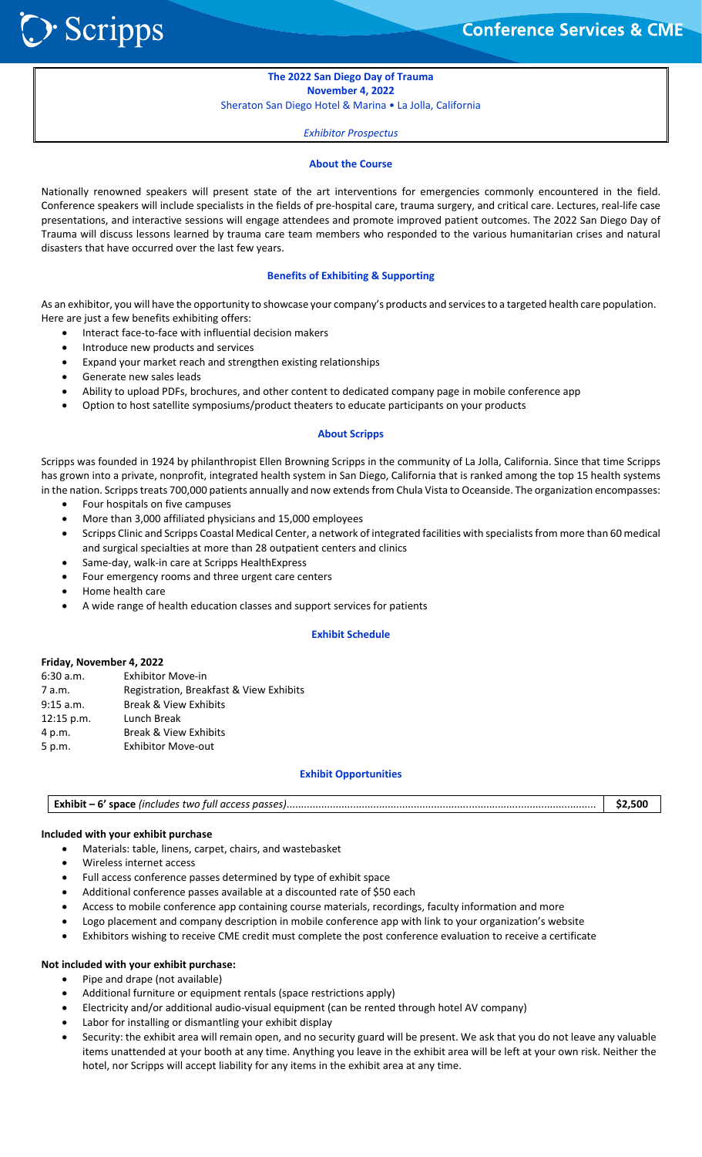Scripps :

֦֘

# **The 2022 San Diego Day of Trauma November 4, 2022**

Sheraton San Diego Hotel & Marina • La Jolla, California

*Exhibitor Prospectus*

#### **About the Course**

Nationally renowned speakers will present state of the art interventions for emergencies commonly encountered in the field. Conference speakers will include specialists in the fields of pre‐hospital care, trauma surgery, and critical care. Lectures, real‐life case presentations, and interactive sessions will engage attendees and promote improved patient outcomes. The 2022 San Diego Day of Trauma will discuss lessons learned by trauma care team members who responded to the various humanitarian crises and natural disasters that have occurred over the last few years.

## **Benefits of Exhibiting & Supporting**

As an exhibitor, you will have the opportunity to showcase your company's products and services to a targeted health care population. Here are just a few benefits exhibiting offers:

- Interact face‐to‐face with influential decision makers
- Introduce new products and services
- Expand your market reach and strengthen existing relationships
- Generate new sales leads
- Ability to upload PDFs, brochures, and other content to dedicated company page in mobile conference app
- Option to host satellite symposiums/product theaters to educate participants on your products

#### **About Scripps**

Scripps was founded in 1924 by philanthropist Ellen Browning Scripps in the community of La Jolla, California. Since that time Scripps has grown into a private, nonprofit, integrated health system in San Diego, California that is ranked among the top 15 health systems in the nation. Scripps treats 700,000 patients annually and now extends from Chula Vista to Oceanside. The organization encompasses:

- Four hospitals on five campuses
- More than 3,000 affiliated physicians and 15,000 employees
- Scripps Clinic and Scripps Coastal Medical Center, a network of integrated facilities with specialists from more than 60 medical and surgical specialties at more than 28 outpatient centers and clinics
- Same‐day, walk‐in care at Scripps HealthExpress
- Four emergency rooms and three urgent care centers
- Home health care
- A wide range of health education classes and support services for patients

#### **Exhibit Schedule**

## **Friday, November 4, 2022**

| 6:30 a.m.   | <b>Exhibitor Move-in</b>                |
|-------------|-----------------------------------------|
| 7 a.m.      | Registration, Breakfast & View Exhibits |
| $9:15$ a.m. | <b>Break &amp; View Exhibits</b>        |
| 12:15 p.m.  | Lunch Break                             |
| 4 p.m.      | <b>Break &amp; View Exhibits</b>        |
| 5 p.m.      | <b>Exhibitor Move-out</b>               |

#### **Exhibit Opportunities**

| <b>Exhibit – 6' space</b> (includes two full access passes). | 32.JU |
|--------------------------------------------------------------|-------|
|--------------------------------------------------------------|-------|

## **Included with your exhibit purchase**

- Materials: table, linens, carpet, chairs, and wastebasket
- Wireless internet access
- Full access conference passes determined by type of exhibit space
- Additional conference passes available at a discounted rate of \$50 each
- Access to mobile conference app containing course materials, recordings, faculty information and more
- Logo placement and company description in mobile conference app with link to your organization's website
- Exhibitors wishing to receive CME credit must complete the post conference evaluation to receive a certificate

## **Not included with your exhibit purchase:**

- Pipe and drape (not available)
- Additional furniture or equipment rentals (space restrictions apply)
- Electricity and/or additional audio‐visual equipment (can be rented through hotel AV company)
- Labor for installing or dismantling your exhibit display
- Security: the exhibit area will remain open, and no security guard will be present. We ask that you do not leave any valuable items unattended at your booth at any time. Anything you leave in the exhibit area will be left at your own risk. Neither the hotel, nor Scripps will accept liability for any items in the exhibit area at any time.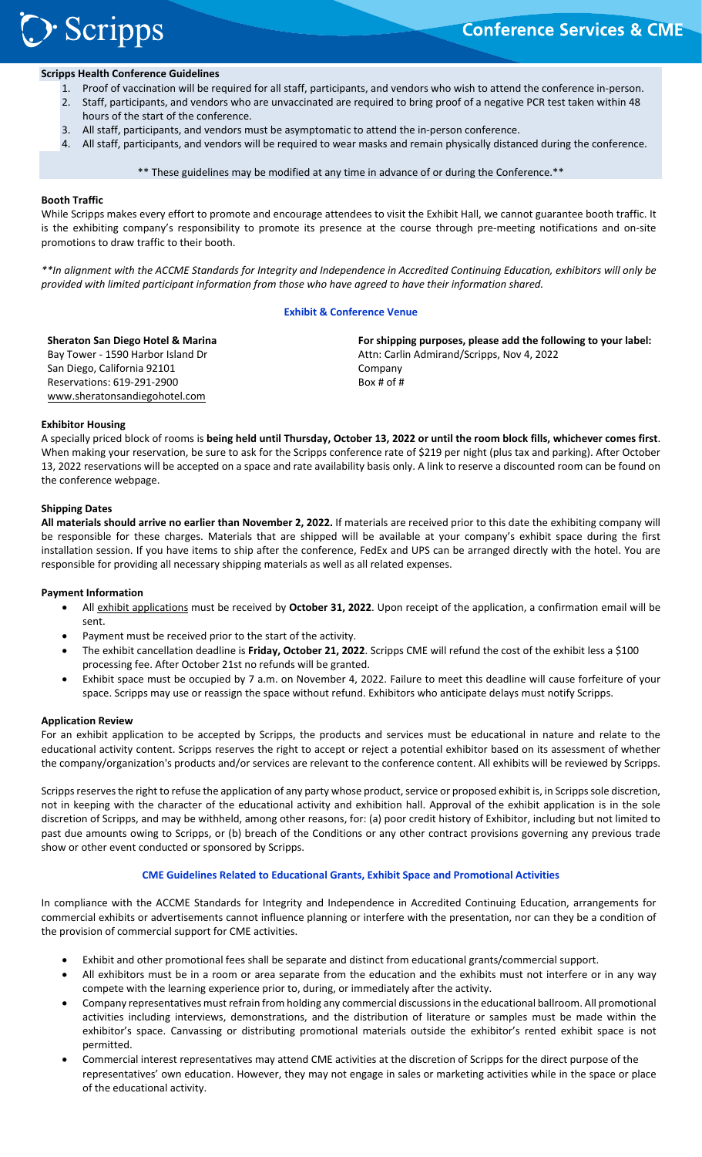# > Scripps

#### ֦֘ **Scripps Health Conference Guidelines**

- 1. Proof of vaccination will be required for all staff, participants, and vendors who wish to attend the conference in‐person.
- 2. Staff, participants, and vendors who are unvaccinated are required to bring proof of a negative PCR test taken within 48
- hours of the start of the conference.
- 3. All staff, participants, and vendors must be asymptomatic to attend the in‐person conference.
- 4. All staff, participants, and vendors will be required to wear masks and remain physically distanced during the conference.

\*\* These guidelines may be modified at any time in advance of or during the Conference.\*\*

## **Booth Traffic**

While Scripps makes every effort to promote and encourage attendees to visit the Exhibit Hall, we cannot guarantee booth traffic. It is the exhibiting company's responsibility to promote its presence at the course through pre-meeting notifications and on-site promotions to draw traffic to their booth.

*\*\*In alignment with the ACCME Standards for Integrity and Independence in Accredited Continuing Education, exhibitors will only be provided with limited participant information from those who have agreed to have their information shared.* 

## **Exhibit & Conference Venue**

**Sheraton San Diego Hotel & Marina**  Bay Tower ‐ 1590 Harbor Island Dr San Diego, California 92101 Reservations: 619‐291‐2900 www.sheratonsandiegohotel.com

**For shipping purposes, please add the following to your label:** Attn: Carlin Admirand/Scripps, Nov 4, 2022 Company Box # of #

## **Exhibitor Housing**

A specially priced block of rooms is **being held until Thursday, October 13, 2022 or until the room block fills, whichever comes first**. When making your reservation, be sure to ask for the Scripps conference rate of \$219 per night (plus tax and parking). After October 13, 2022 reservations will be accepted on a space and rate availability basis only. A link to reserve a discounted room can be found on the conference webpage.

## **Shipping Dates**

**All materials should arrive no earlier than November 2, 2022.** If materials are received prior to this date the exhibiting company will be responsible for these charges. Materials that are shipped will be available at your company's exhibit space during the first installation session. If you have items to ship after the conference, FedEx and UPS can be arranged directly with the hotel. You are responsible for providing all necessary shipping materials as well as all related expenses.

## **Payment Information**

- All exhibit applications must be received by **October 31, 2022**. Upon receipt of the application, a confirmation email will be sent.
- Payment must be received prior to the start of the activity.
- The exhibit cancellation deadline is **Friday, October 21, 2022**. Scripps CME will refund the cost of the exhibit less a \$100 processing fee. After October 21st no refunds will be granted.
- Exhibit space must be occupied by 7 a.m. on November 4, 2022. Failure to meet this deadline will cause forfeiture of your space. Scripps may use or reassign the space without refund. Exhibitors who anticipate delays must notify Scripps.

#### **Application Review**

For an exhibit application to be accepted by Scripps, the products and services must be educational in nature and relate to the educational activity content. Scripps reserves the right to accept or reject a potential exhibitor based on its assessment of whether the company/organization's products and/or services are relevant to the conference content. All exhibits will be reviewed by Scripps.

Scripps reserves the right to refuse the application of any party whose product, service or proposed exhibit is, in Scripps sole discretion, not in keeping with the character of the educational activity and exhibition hall. Approval of the exhibit application is in the sole discretion of Scripps, and may be withheld, among other reasons, for: (a) poor credit history of Exhibitor, including but not limited to past due amounts owing to Scripps, or (b) breach of the Conditions or any other contract provisions governing any previous trade show or other event conducted or sponsored by Scripps.

## **CME Guidelines Related to Educational Grants, Exhibit Space and Promotional Activities**

In compliance with the ACCME Standards for Integrity and Independence in Accredited Continuing Education, arrangements for commercial exhibits or advertisements cannot influence planning or interfere with the presentation, nor can they be a condition of the provision of commercial support for CME activities.

- Exhibit and other promotional fees shall be separate and distinct from educational grants/commercial support.
- All exhibitors must be in a room or area separate from the education and the exhibits must not interfere or in any way compete with the learning experience prior to, during, or immediately after the activity.
- Company representatives must refrain from holding any commercial discussions in the educational ballroom. All promotional activities including interviews, demonstrations, and the distribution of literature or samples must be made within the exhibitor's space. Canvassing or distributing promotional materials outside the exhibitor's rented exhibit space is not permitted.
- Commercial interest representatives may attend CME activities at the discretion of Scripps for the direct purpose of the representatives' own education. However, they may not engage in sales or marketing activities while in the space or place of the educational activity.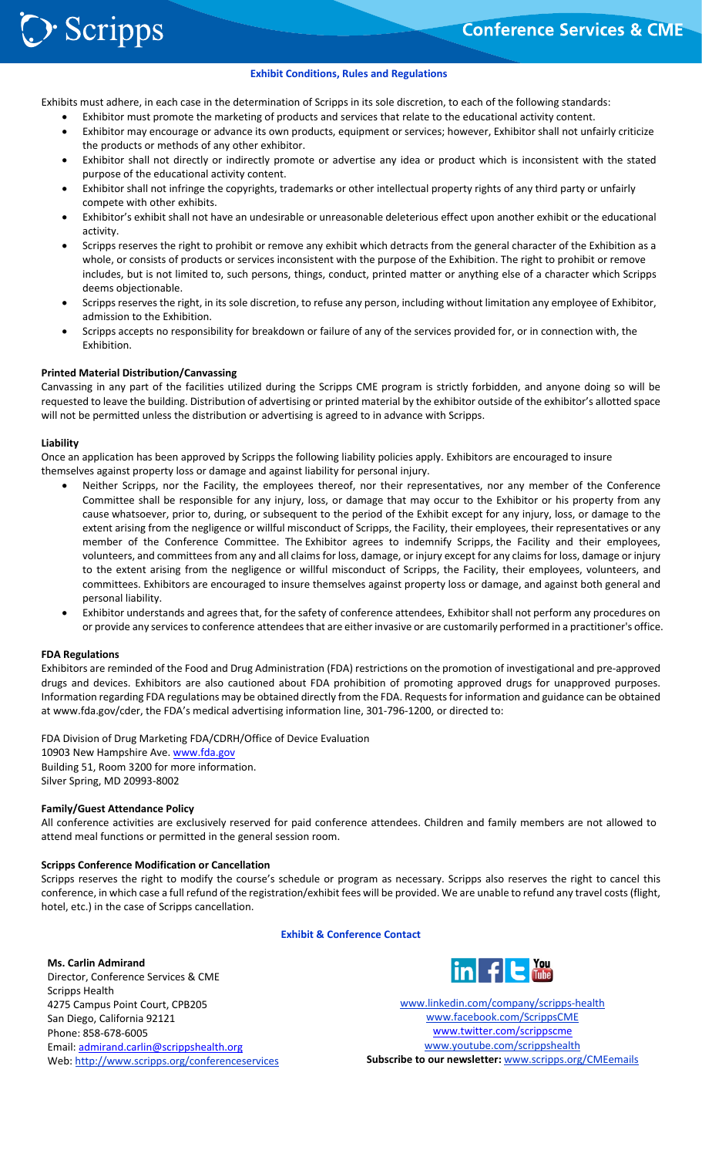֦֘

#### **Exhibit Conditions, Rules and Regulations**

Exhibits must adhere, in each case in the determination of Scripps in its sole discretion, to each of the following standards:

- Exhibitor must promote the marketing of products and services that relate to the educational activity content.
- Exhibitor may encourage or advance its own products, equipment or services; however, Exhibitor shall not unfairly criticize the products or methods of any other exhibitor.
- Exhibitor shall not directly or indirectly promote or advertise any idea or product which is inconsistent with the stated purpose of the educational activity content.
- Exhibitor shall not infringe the copyrights, trademarks or other intellectual property rights of any third party or unfairly compete with other exhibits.
- Exhibitor's exhibit shall not have an undesirable or unreasonable deleterious effect upon another exhibit or the educational activity.
- Scripps reserves the right to prohibit or remove any exhibit which detracts from the general character of the Exhibition as a whole, or consists of products or services inconsistent with the purpose of the Exhibition. The right to prohibit or remove includes, but is not limited to, such persons, things, conduct, printed matter or anything else of a character which Scripps deems objectionable.
- Scripps reserves the right, in its sole discretion, to refuse any person, including without limitation any employee of Exhibitor, admission to the Exhibition.
- Scripps accepts no responsibility for breakdown or failure of any of the services provided for, or in connection with, the Exhibition.

#### **Printed Material Distribution/Canvassing**

Canvassing in any part of the facilities utilized during the Scripps CME program is strictly forbidden, and anyone doing so will be requested to leave the building. Distribution of advertising or printed material by the exhibitor outside of the exhibitor's allotted space will not be permitted unless the distribution or advertising is agreed to in advance with Scripps.

#### **Liability**

Once an application has been approved by Scripps the following liability policies apply. Exhibitors are encouraged to insure themselves against property loss or damage and against liability for personal injury.

- Neither Scripps, nor the Facility, the employees thereof, nor their representatives, nor any member of the Conference Committee shall be responsible for any injury, loss, or damage that may occur to the Exhibitor or his property from any cause whatsoever, prior to, during, or subsequent to the period of the Exhibit except for any injury, loss, or damage to the extent arising from the negligence or willful misconduct of Scripps, the Facility, their employees, their representatives or any member of the Conference Committee. The Exhibitor agrees to indemnify Scripps, the Facility and their employees, volunteers, and committees from any and all claims for loss, damage, or injury except for any claims for loss, damage or injury to the extent arising from the negligence or willful misconduct of Scripps, the Facility, their employees, volunteers, and committees. Exhibitors are encouraged to insure themselves against property loss or damage, and against both general and personal liability.
- Exhibitor understands and agrees that, for the safety of conference attendees, Exhibitor shall not perform any procedures on or provide any services to conference attendees that are either invasive or are customarily performed in a practitioner's office.

#### **FDA Regulations**

Exhibitors are reminded of the Food and Drug Administration (FDA) restrictions on the promotion of investigational and pre‐approved drugs and devices. Exhibitors are also cautioned about FDA prohibition of promoting approved drugs for unapproved purposes. Information regarding FDA regulations may be obtained directly from the FDA. Requests for information and guidance can be obtained at www.fda.gov/cder, the FDA's medical advertising information line, 301‐796‐1200, or directed to:

FDA Division of Drug Marketing FDA/CDRH/Office of Device Evaluation 10903 New Hampshire Ave. www.fda.gov Building 51, Room 3200 for more information. Silver Spring, MD 20993‐8002

#### **Family/Guest Attendance Policy**

All conference activities are exclusively reserved for paid conference attendees. Children and family members are not allowed to attend meal functions or permitted in the general session room.

#### **Scripps Conference Modification or Cancellation**

Scripps reserves the right to modify the course's schedule or program as necessary. Scripps also reserves the right to cancel this conference, in which case a full refund of the registration/exhibit fees will be provided. We are unable to refund any travel costs (flight, hotel, etc.) in the case of Scripps cancellation.

#### **Exhibit & Conference Contact**

## **Ms. Carlin Admirand**

Director, Conference Services & CME Scripps Health 4275 Campus Point Court, CPB205 San Diego, California 92121 Phone: 858‐678‐6005 Email: admirand.carlin@scrippshealth.org Web: http://www.scripps.org/conferenceservices



www.linkedin.com/company/scripps‐health www.facebook.com/ScrippsCME www.twitter.com/scrippscme www.youtube.com/scrippshealth **Subscribe to our newsletter:** www.scripps.org/CMEemails